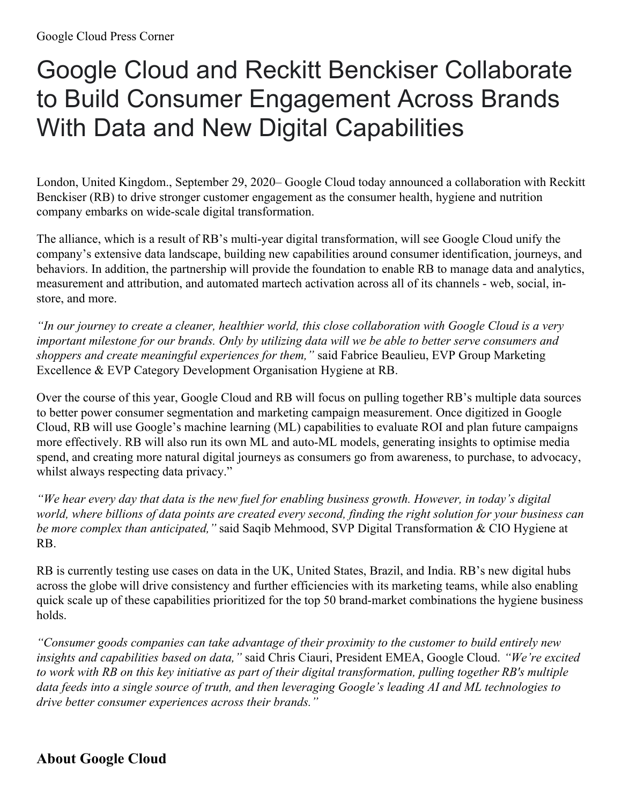## Google Cloud and Reckitt Benckiser Collaborate to Build Consumer Engagement Across Brands With Data and New Digital Capabilities

London, United Kingdom., September 29, 2020– Google Cloud today announced a collaboration with Reckitt Benckiser (RB) to drive stronger customer engagement as the consumer health, hygiene and nutrition company embarks on wide-scale digital transformation.

The alliance, which is a result of RB's multi-year digital transformation, will see Google Cloud unify the company's extensive data landscape, building new capabilities around consumer identification, journeys, and behaviors. In addition, the partnership will provide the foundation to enable RB to manage data and analytics, measurement and attribution, and automated martech activation across all of its channels - web, social, instore, and more.

"In our journey to create a cleaner, healthier world, this close collaboration with Google Cloud is a very important milestone for our brands. Only by utilizing data will we be able to better serve consumers and *shoppers and create meaningful experiences for them,"* said Fabrice Beaulieu, EVP Group Marketing Excellence & EVP Category Development Organisation Hygiene at RB.

Over the course of this year, Google Cloud and RB will focus on pulling together RB's multiple data sources to better power consumer segmentation and marketing campaign measurement. Once digitized in Google Cloud, RB will use Google's machine learning (ML) capabilities to evaluate ROI and plan future campaigns more effectively. RB will also run its own ML and auto-ML models, generating insights to optimise media spend, and creating more natural digital journeys as consumers go from awareness, to purchase, to advocacy, whilst always respecting data privacy."

"We hear every day that data is the new fuel for enabling business growth. However, in today's digital world, where billions of data points are created every second, finding the right solution for your business can *be more complex than anticipated,"* said Saqib Mehmood, SVP Digital Transformation & CIO Hygiene at RB.

RB is currently testing use cases on data in the UK, United States, Brazil, and India. RB's new digital hubs across the globe will drive consistency and further efficiencies with its marketing teams, while also enabling quick scale up of these capabilities prioritized for the top 50 brand-market combinations the hygiene business holds.

*"Consumer goods companies can take advantage of their proximity to the customer to build entirely new insights and capabilities based on data,"* said Chris Ciauri, President EMEA, Google Cloud. *"We're excited* to work with RB on this key initiative as part of their digital transformation, pulling together RB's multiple data feeds into a single source of truth, and then leveraging Google's leading AI and ML technologies to *drive better consumer experiences across their brands."*

## **About Google Cloud**